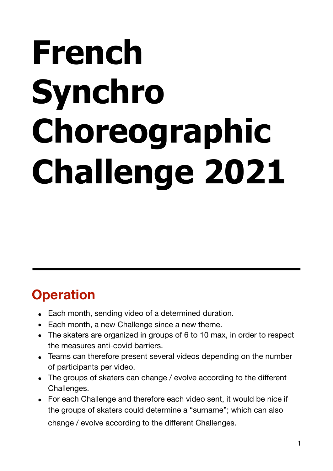# **French Synchro Choreographic Challenge 2021**

## **Operation**

- Each month, sending video of a determined duration.
- Each month, a new Challenge since a new theme.
- The skaters are organized in groups of 6 to 10 max, in order to respect the measures anti-covid barriers.
- Teams can therefore present several videos depending on the number of participants per video.
- The groups of skaters can change / evolve according to the different Challenges.
- For each Challenge and therefore each video sent, it would be nice if the groups of skaters could determine a "surname"; which can also change / evolve according to the different Challenges.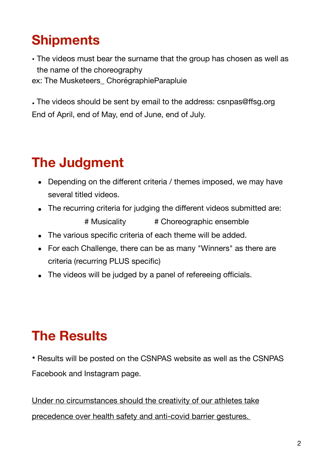## **Shipments**

• The videos must bear the surname that the group has chosen as well as the name of the choreography ex: The Musketeers\_ ChorégraphieParapluie

• The videos should be sent by email to the address: csnpas@ffsg.org End of April, end of May, end of June, end of July.

# **The Judgment**

- Depending on the different criteria / themes imposed, we may have several titled videos.
- The recurring criteria for judging the different videos submitted are: # Musicality # Choreographic ensemble
- The various specific criteria of each theme will be added.
- For each Challenge, there can be as many "Winners" as there are criteria (recurring PLUS specific)
- The videos will be judged by a panel of refereeing officials.

## **The Results**

• Results will be posted on the CSNPAS website as well as the CSNPAS Facebook and Instagram page.

Under no circumstances should the creativity of our athletes take precedence over health safety and anti-covid barrier gestures.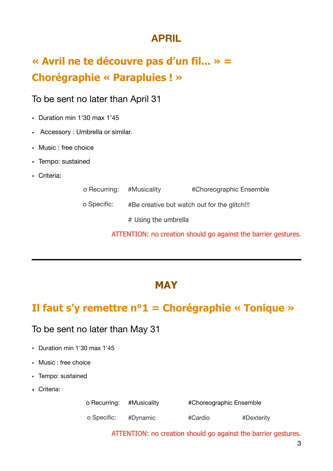### **APRIL**

## **« Avril ne te découvre pas d'un fil... » = Chorégraphie « Parapluies ! »**

#### To be sent no later than April 31

- Duration min 1'30 max 1'45
- Accessory : Umbrella or similar.
- Music : free choice
- Tempo: sustained
- Criteria:

| o Recurring: #Musicality |                                              | #Choreographic Ensemble |
|--------------------------|----------------------------------------------|-------------------------|
| o Specific:              | #Be creative but watch out for the glitch!!! |                         |
|                          | # Using the umbrella                         |                         |

ATTENTION: no creation should go against the barrier gestures.

#### **MAY**

### **Il faut s'y remettre n°1 = Chorégraphie « Tonique »**

#### To be sent no later than May 31

- Duration min 1'30 max 1'45
- Music : free choice
- Tempo: sustained
- Criteria:

o Recurring: #Musicality #Choreographic Ensemble

o Specific: #Dynamic #Cardio #Dexterity

ATTENTION: no creation should go against the barrier gestures.